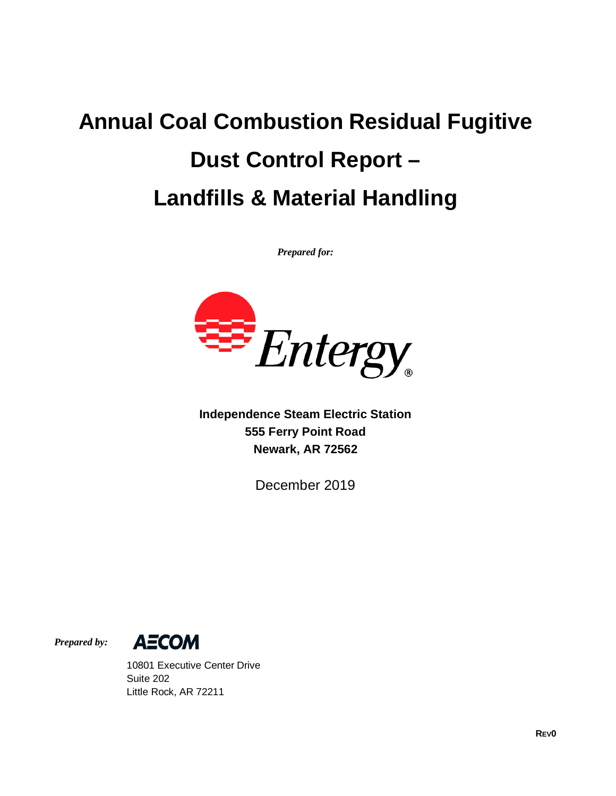# **Annual Coal Combustion Residual Fugitive Dust Control Report – Landfills & Material Handling**

*Prepared for:*



**Independence Steam Electric Station 555 Ferry Point Road Newark, AR 72562**

December 2019

*Prepared by:*



10801 Executive Center Drive Suite 202 Little Rock, AR 72211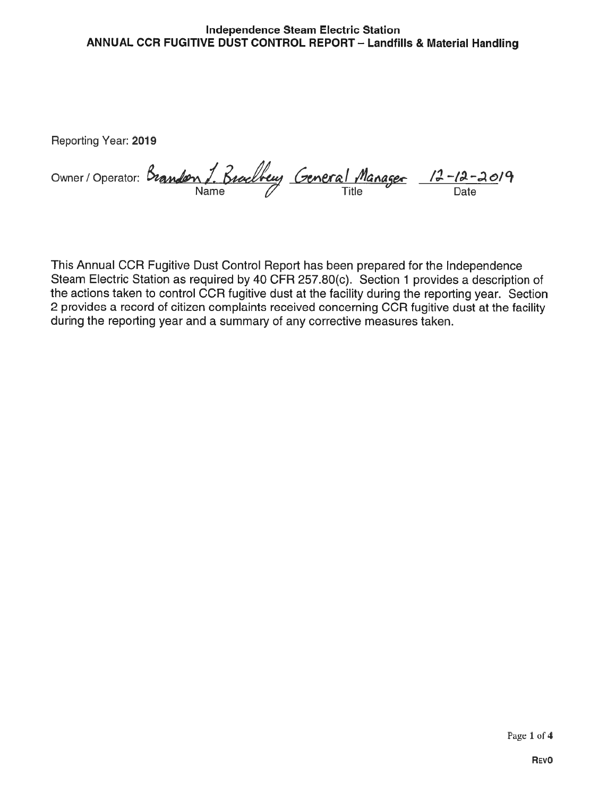#### Independence Steam Electric Station ANNUAL CCR FUGITIVE DUST CONTROL REPORT — Landfills & Material Handling

Reporting Year: 2019

|  | Owner/Operator: Brandon J. Brachberry General Manager 12-12-2019 |
|--|------------------------------------------------------------------|
|  |                                                                  |

This Annual CCR Fugitive Dust Control Report has been prepared for the Independence Steam Electric Station as required by 40 CFR 257.80(c). Section <sup>1</sup> provides a description of the actions taken to control CCR fugitive dust at the facility during the reporting year. Section 2 provides a record of citizen complaints received concerning CCR fugitive dust at the facility during the reporting year and a summary of any corrective measures taken.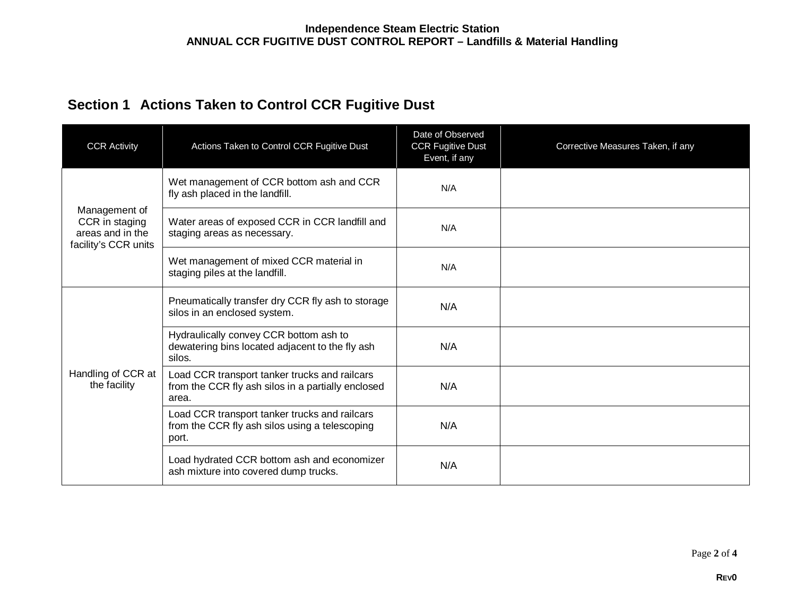## **Section 1 Actions Taken to Control CCR Fugitive Dust**

| <b>CCR Activity</b>                                                         | Actions Taken to Control CCR Fugitive Dust                                                                   | Date of Observed<br><b>CCR Fugitive Dust</b><br>Event, if any | Corrective Measures Taken, if any |
|-----------------------------------------------------------------------------|--------------------------------------------------------------------------------------------------------------|---------------------------------------------------------------|-----------------------------------|
| Management of<br>CCR in staging<br>areas and in the<br>facility's CCR units | Wet management of CCR bottom ash and CCR<br>fly ash placed in the landfill.                                  | N/A                                                           |                                   |
|                                                                             | Water areas of exposed CCR in CCR landfill and<br>staging areas as necessary.                                | N/A                                                           |                                   |
|                                                                             | Wet management of mixed CCR material in<br>staging piles at the landfill.                                    | N/A                                                           |                                   |
| Handling of CCR at<br>the facility                                          | Pneumatically transfer dry CCR fly ash to storage<br>silos in an enclosed system.                            | N/A                                                           |                                   |
|                                                                             | Hydraulically convey CCR bottom ash to<br>dewatering bins located adjacent to the fly ash<br>silos.          | N/A                                                           |                                   |
|                                                                             | Load CCR transport tanker trucks and railcars<br>from the CCR fly ash silos in a partially enclosed<br>area. | N/A                                                           |                                   |
|                                                                             | Load CCR transport tanker trucks and railcars<br>from the CCR fly ash silos using a telescoping<br>port.     | N/A                                                           |                                   |
|                                                                             | Load hydrated CCR bottom ash and economizer<br>ash mixture into covered dump trucks.                         | N/A                                                           |                                   |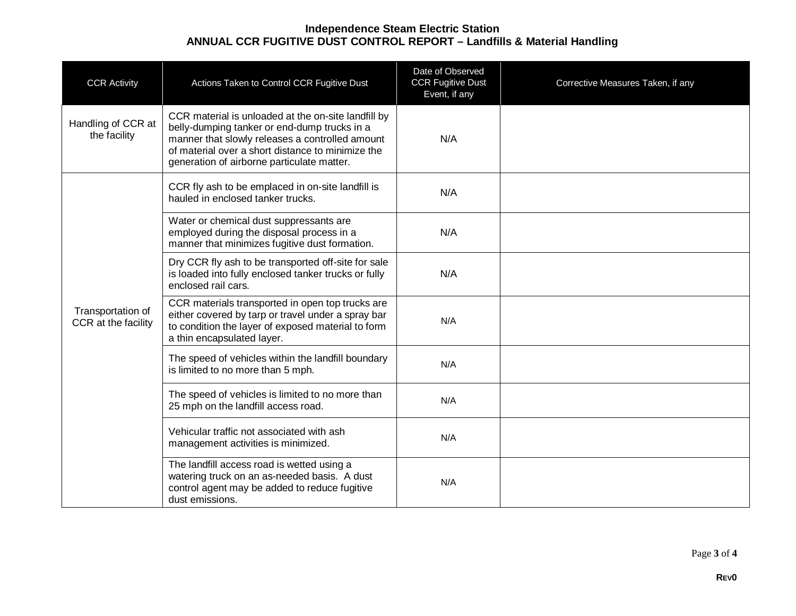### **Independence Steam Electric Station ANNUAL CCR FUGITIVE DUST CONTROL REPORT – Landfills & Material Handling**

| <b>CCR Activity</b>                      | Actions Taken to Control CCR Fugitive Dust                                                                                                                                                                                                                | Date of Observed<br><b>CCR Fugitive Dust</b><br>Event, if any | Corrective Measures Taken, if any |
|------------------------------------------|-----------------------------------------------------------------------------------------------------------------------------------------------------------------------------------------------------------------------------------------------------------|---------------------------------------------------------------|-----------------------------------|
| Handling of CCR at<br>the facility       | CCR material is unloaded at the on-site landfill by<br>belly-dumping tanker or end-dump trucks in a<br>manner that slowly releases a controlled amount<br>of material over a short distance to minimize the<br>generation of airborne particulate matter. | N/A                                                           |                                   |
|                                          | CCR fly ash to be emplaced in on-site landfill is<br>hauled in enclosed tanker trucks.                                                                                                                                                                    | N/A                                                           |                                   |
| Transportation of<br>CCR at the facility | Water or chemical dust suppressants are<br>employed during the disposal process in a<br>manner that minimizes fugitive dust formation.                                                                                                                    | N/A                                                           |                                   |
|                                          | Dry CCR fly ash to be transported off-site for sale<br>is loaded into fully enclosed tanker trucks or fully<br>enclosed rail cars.                                                                                                                        | N/A                                                           |                                   |
|                                          | CCR materials transported in open top trucks are<br>either covered by tarp or travel under a spray bar<br>to condition the layer of exposed material to form<br>a thin encapsulated layer.                                                                | N/A                                                           |                                   |
|                                          | The speed of vehicles within the landfill boundary<br>is limited to no more than 5 mph.                                                                                                                                                                   | N/A                                                           |                                   |
|                                          | The speed of vehicles is limited to no more than<br>25 mph on the landfill access road.                                                                                                                                                                   | N/A                                                           |                                   |
|                                          | Vehicular traffic not associated with ash<br>management activities is minimized.                                                                                                                                                                          | N/A                                                           |                                   |
|                                          | The landfill access road is wetted using a<br>watering truck on an as-needed basis. A dust<br>control agent may be added to reduce fugitive<br>dust emissions.                                                                                            | N/A                                                           |                                   |